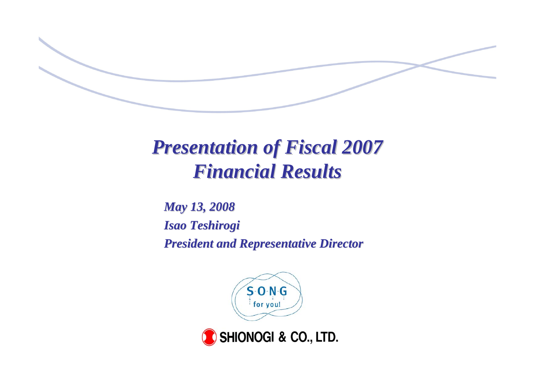

# *Presentation of Fiscal 2007 Presentation of Fiscal 2007 Financial Results Financial Results*

*May 13, 2008 May 13, 2008 Isao Teshirogi Isao Teshirogi President and Representative Director President and Representative Director*



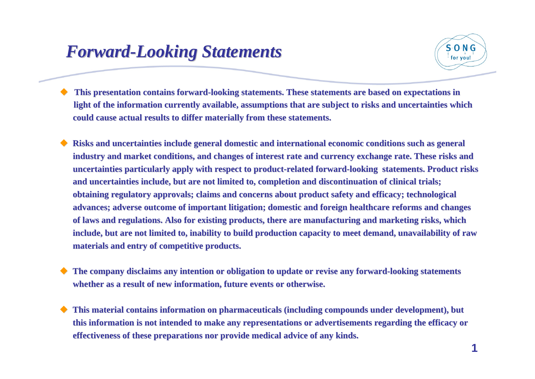### *Forward Forward-Looking Statements Looking Statements*



♦ This presentation contains forward-looking statements. These statements are based on expectations in light of the information currently available, assumptions that are subject to risks and uncertainties which **could cause actual results to could cause actual results to differ materially from these differ materially from these statements. statements.**

♦ Risks and uncertainties include general domestic and international economic conditions such as general industry and market conditions, and changes of interest rate and currency exchange rate. These risks and uncertainties particularly apply with respect to product-related forward-looking statements. Product risks and uncertainties include, but are not limited to, completion and discontinuation of clinical trials; **obtaining regulatory approvals; claims and concerns about product safety and efficacy; technological advances; adverse outcome of important litigation; domestic and foreign healthcare reforms and changes** of laws and regulations. Also for existing products, there are manufacturing and marketing risks, which include, but are not limited to, inability to build production capacity to meet demand, unavailability of raw **materials and entry of competitive products. materials and entry of competitive products.** 

 $\blacklozenge$ The company disclaims any intention or obligation to update or revise any forward-looking statements **whether as a result of new information, future events or otherwise.** 

 $\blacklozenge$ **This material contains information on pharmaceuticals (including compounds under development), but** this information is not intended to make any representations or advertisements regarding the efficacy or **effectiveness of these prepar effectiveness of these preparations nor provide medical ad ations nor provide medical advice of any kinds. vice of any kinds.**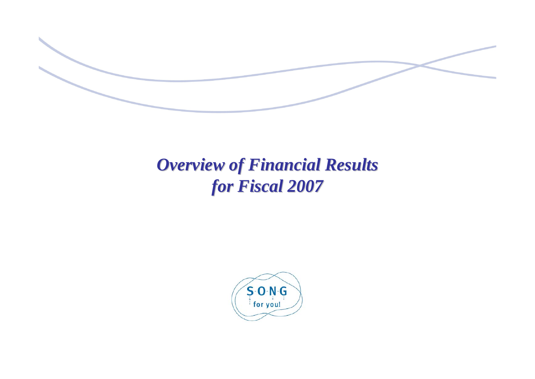

## *Overview of Financial Results Overview of Financial Results for Fiscal 2007 for Fiscal 2007*

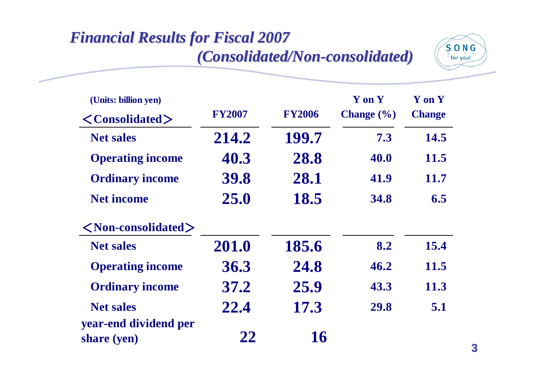### **Financial Results for Fiscal 2007** *(Consolidated/Non (Consolidated/Non-consolidated) consolidated)*



| (Units: billion yen)                 |               |               | Y on Y               | Y on Y        |
|--------------------------------------|---------------|---------------|----------------------|---------------|
| $\langle$ Consolidated $\rangle$     | <b>FY2007</b> | <b>FY2006</b> | <b>Change</b> $(\%)$ | <b>Change</b> |
| <b>Net sales</b>                     | 214.2         | 199.7         | 7.3                  | 14.5          |
| <b>Operating income</b>              | 40.3          | 28.8          | 40.0                 | 11.5          |
| <b>Ordinary income</b>               | 39.8          | 28.1          | 41.9                 | 11.7          |
| <b>Net income</b>                    | 25.0          | 18.5          | <b>34.8</b>          | 6.5           |
| $\langle$ Non-consolidated $\rangle$ |               |               |                      |               |
| <b>Net sales</b>                     | 201.0         | 185.6         | 8.2                  | 15.4          |
| <b>Operating income</b>              | 36.3          | 24.8          | 46.2                 | <b>11.5</b>   |
| <b>Ordinary income</b>               | 37.2          | 25.9          | 43.3                 | 11.3          |
| <b>Net sales</b>                     | 22.4          | 17.3          | 29.8                 | 5.1           |
| year-end dividend per<br>share (yen) | 22            | 16            |                      |               |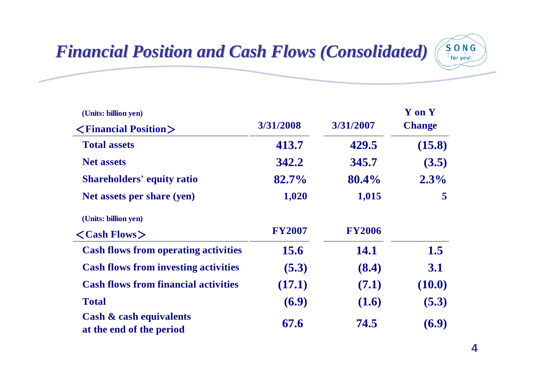# *Financial Position and Cash Flows (Consolidated) Financial Position and Cash Flows (Consolidated)*



| (Units: billion yen)                                           | 3/31/2008     | 3/31/2007     | Y on Y<br><b>Change</b> |
|----------------------------------------------------------------|---------------|---------------|-------------------------|
| $\langle$ Financial Position $\rangle$                         |               |               |                         |
| <b>Total assets</b>                                            | 413.7         | 429.5         | (15.8)                  |
| <b>Net assets</b>                                              | 342.2         | 345.7         | (3.5)                   |
| <b>Shareholders' equity ratio</b>                              | 82.7%         | 80.4%         | 2.3%                    |
| Net assets per share (yen)                                     | 1,020         | 1,015         | 5                       |
| (Units: billion yen)                                           |               |               |                         |
| $\langle$ Cash Flows $\rangle$                                 | <b>FY2007</b> | <b>FY2006</b> |                         |
| <b>Cash flows from operating activities</b>                    | 15.6          | <b>14.1</b>   | 1.5                     |
| <b>Cash flows from investing activities</b>                    | (5.3)         | (8.4)         | 3.1                     |
| <b>Cash flows from financial activities</b>                    | (17.1)        | (7.1)         | (10.0)                  |
| <b>Total</b>                                                   | (6.9)         | (1.6)         | (5.3)                   |
| <b>Cash &amp; cash equivalents</b><br>at the end of the period | 67.6          | 74.5          | (6.9)                   |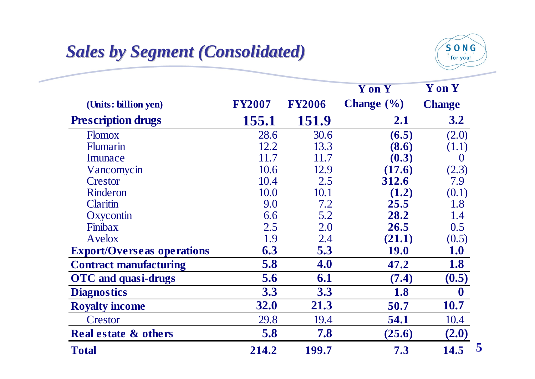## *Sales by Segment (Consolidated) Sales by Segment (Consolidated)*



**55**

|                                   |               |               | <b>Y</b> on <b>Y</b> | Y on Y           |
|-----------------------------------|---------------|---------------|----------------------|------------------|
| (Units: billion yen)              | <b>FY2007</b> | <b>FY2006</b> | <b>Change</b> $(\%)$ | <b>Change</b>    |
| <b>Prescription drugs</b>         | 155.1         | 151.9         | 2.1                  | 3.2              |
| <b>Flomox</b>                     | 28.6          | 30.6          | (6.5)                | (2.0)            |
| <b>Flumarin</b>                   | 12.2          | 13.3          | (8.6)                | (1.1)            |
| Imunace                           | 11.7          | 11.7          | (0.3)                | $\theta$         |
| Vancomycin                        | 10.6          | 12.9          | (17.6)               | (2.3)            |
| Crestor                           | 10.4          | 2.5           | 312.6                | 7.9              |
| Rinderon                          | 10.0          | 10.1          | (1.2)                | (0.1)            |
| Claritin                          | 9.0           | 7.2           | 25.5                 | 1.8              |
| Oxycontin                         | 6.6           | 5.2           | 28.2                 | 1.4              |
| Finibax                           | 2.5           | 2.0           | 26.5                 | 0.5              |
| Avelox                            | 1.9           | 2.4           | (21.1)               | (0.5)            |
| <b>Export/Overseas operations</b> | 6.3           | 5.3           | <b>19.0</b>          | <b>1.0</b>       |
| <b>Contract manufacturing</b>     | 5.8           | 4.0           | 47.2                 | 1.8              |
| <b>OTC</b> and quasi-drugs        | 5.6           | 6.1           | (7.4)                | (0.5)            |
| <b>Diagnostics</b>                | 3.3           | 3.3           | 1.8                  | $\boldsymbol{0}$ |
| <b>Royalty income</b>             | <b>32.0</b>   | 21.3          | 50.7                 | <b>10.7</b>      |
| Crestor                           | 29.8          | 19.4          | 54.1                 | 10.4             |
| <b>Real estate &amp; others</b>   | 5.8           | 7.8           | (25.6)               | (2.0)            |
| <b>Total</b>                      | 214.2         | 199.7         | 7.3                  | 14.5             |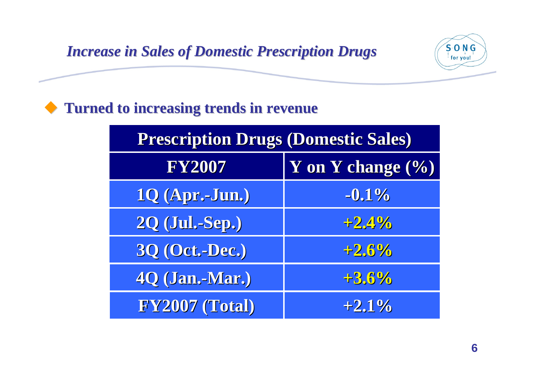#### *Increase in Sales of Domestic Prescription Drugs Increase in Sales of Domestic Prescription Drugs*



| <b>Prescription Drugs (Domestic Sales)</b> |         |  |  |
|--------------------------------------------|---------|--|--|
| Y on Y change (%)<br><b>FY2007</b>         |         |  |  |
| 1Q (Apr.-Jun.)                             | $-0.1%$ |  |  |
| <b>2Q (Jul.-Sep.)</b>                      | $+2.4%$ |  |  |
| <b>3Q (Oct.-Dec.)</b>                      | $+2.6%$ |  |  |
| 4Q (Jan.-Mar.)                             | $+3.6%$ |  |  |
| FY2007 (Total)                             | $+2.1%$ |  |  |

 $S$ -O-N-G for you!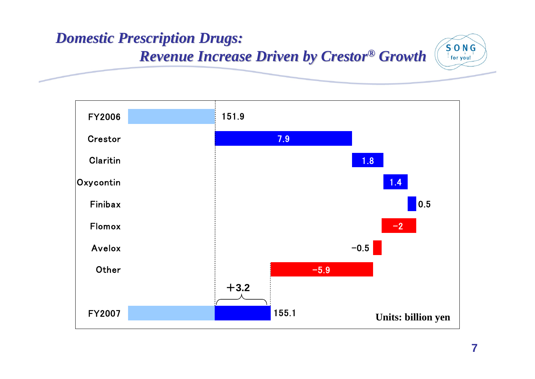#### *Domestic Prescription Drugs: Domestic Prescription Drugs:*   $S$  O  $N$  G *Revenue Increase Driven by Revenue Increase Driven by Crestor Crestor® Growth*  for you!

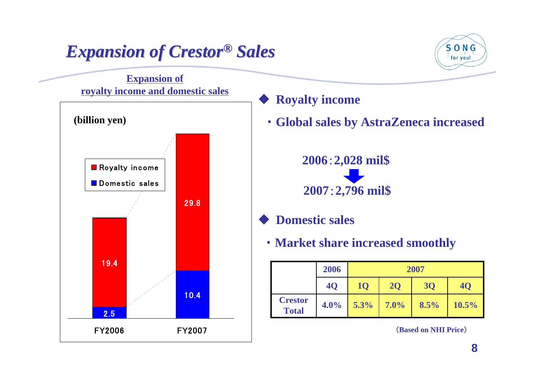## *Expansion of Crestor Expansion of Crestor® Sales*

### $S$   $O$   $N$   $G$ for you!

# 10.42.529.819. 4FY2006FY2007R oyalty in c o m e Domestic sales**Expansion of royalty income and domestic sales (billion yen)**

♦ **Royalty income**

・ **Global sales by AstraZeneca increased** 

**2006**:**2,028 mil\$ 2007**:**2,796 mil\$**

- $\blacklozenge$  **Domestic sales**
	- ・ **Market share increased smoothly**

|                                | 2006      | 2007      |           |      |          |
|--------------------------------|-----------|-----------|-----------|------|----------|
|                                | <b>40</b> | <b>1Q</b> | <b>2Q</b> | 30   | 40       |
| <b>Crestor</b><br><b>Total</b> | 4.0%      | 5.3%      | 7.0%      | 8.5% | $10.5\%$ |

(**Based on NHI Price**)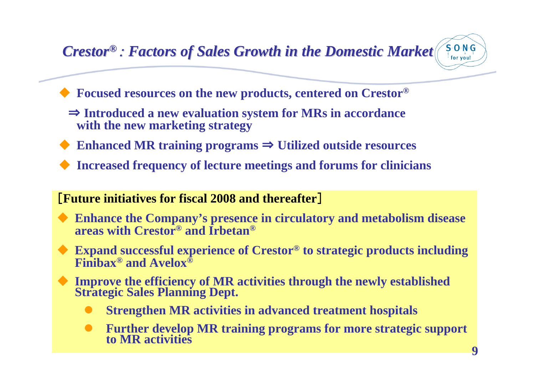#### *Crestor Crestor®*: *Factors of Sales Growth in the Domestic Market Factors of Sales Growth in the Domestic Market*



- $\blacklozenge$  **Focused resources on the new products, centered on Crestor®**
	- ⇒ **Introduced a new evaluation system for MRs in accordance with the new marketing strategy**
- $\blacklozenge$ Enhanced MR training programs  $\Rightarrow$  Utilized outside resources
- $\blacklozenge$ **Increased frequency of lecture meetings and forums for clinicians**

#### [**Future initiatives for fiscal 2008 and thereafter**]

- ♦ **Enhance the Company's presence in circulatory and metabolism disease areas with Crestor® and Irbetan®**
- ♦ **Expand successful experience of Crestor® to strategic products including Finibax® and Avelox®**
- ♦ **Improve the efficiency of MR activities through the newly established Strategic Sales Planning Dept.** 
	- $\bullet$ **Strengthen MR activities in advanced treatment hospitals**
	- $\bullet$ **Further develop MR training programs for more strategic support to MR activities**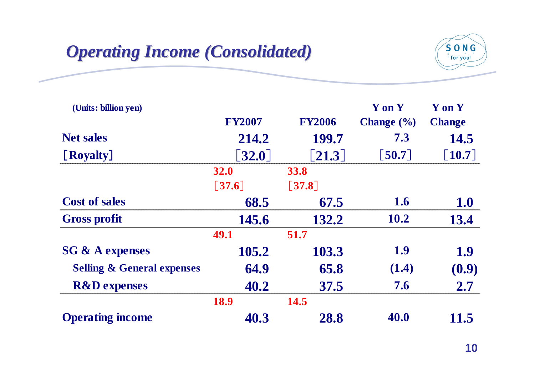### *Operating Income (Consolidated) Operating Income (Consolidated)*



| (Units: billion yen)                  |                      |                      | Y on Y                | <b>Y</b> on <b>Y</b> |
|---------------------------------------|----------------------|----------------------|-----------------------|----------------------|
|                                       | <b>FY2007</b>        | <b>FY2006</b>        | <b>Change</b> $(\% )$ | <b>Change</b>        |
| <b>Net sales</b>                      | 214.2                | 199.7                | 7.3                   | 14.5                 |
| [Royalty]                             | $\left[32.0\right]$  | $\left[ 21.3\right]$ | [50.7]                | $[10.7]$             |
|                                       | <b>32.0</b>          | <b>33.8</b>          |                       |                      |
|                                       | $\lceil 37.6 \rceil$ | $\lceil 37.8 \rceil$ |                       |                      |
| <b>Cost of sales</b>                  | 68.5                 | 67.5                 | <b>1.6</b>            | <b>1.0</b>           |
| <b>Gross profit</b>                   | 145.6                | 132.2                | <b>10.2</b>           | 13.4                 |
|                                       | 49.1                 | 51.7                 |                       |                      |
| <b>SG &amp; A expenses</b>            | 105.2                | 103.3                | 1.9                   | 1.9                  |
| <b>Selling &amp; General expenses</b> | 64.9                 | 65.8                 | (1.4)                 | (0.9)                |
| <b>R&amp;D</b> expenses               | 40.2                 | 37.5                 | 7.6                   | 2.7                  |
|                                       | <b>18.9</b>          | 14.5                 |                       |                      |
| <b>Operating income</b>               | 40.3                 | 28.8                 | 40.0                  | 11.5                 |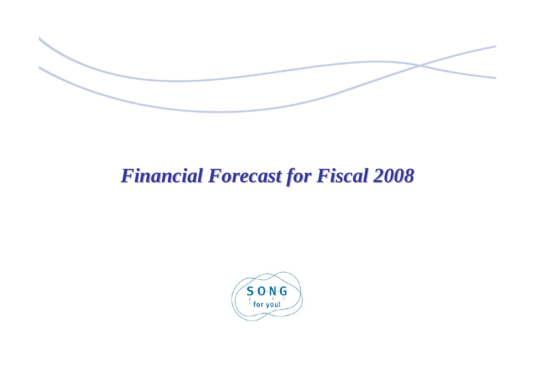

# *Financial Forecast for Fiscal 2008 Financial Forecast for Fiscal 2008*

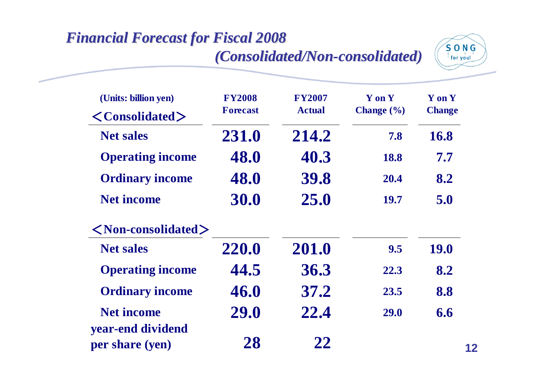#### **Financial Forecast for Fiscal 2008** *(Consolidated/Non (Consolidated/Non -consolidated) consolidated)*



| (Units: billion yen)<br>$\langle$ Consolidated $\rangle$ | <b>FY2008</b><br><b>Forecast</b> | <b>FY2007</b><br><b>Actual</b> | Y on Y<br>Change $(\% )$ | Y on Y<br><b>Change</b> |
|----------------------------------------------------------|----------------------------------|--------------------------------|--------------------------|-------------------------|
| <b>Net sales</b>                                         | 231.0                            | 214.2                          | 7.8                      | 16.8                    |
| <b>Operating income</b>                                  | 48.0                             | 40.3                           | 18.8                     | 7.7                     |
| <b>Ordinary income</b>                                   | 48.0                             | 39.8                           | 20.4                     | 8.2                     |
| <b>Net income</b>                                        | 30.0                             | 25.0                           | <b>19.7</b>              | 5.0                     |
| $\langle$ Non-consolidated $\rangle$                     |                                  |                                |                          |                         |
| <b>Net sales</b>                                         | 220.0                            | 201.0                          | 9.5                      | <b>19.0</b>             |
| <b>Operating income</b>                                  | 44.5                             | 36.3                           | 22.3                     | 8.2                     |
| <b>Ordinary income</b>                                   | 46.0                             | 37.2                           | 23.5                     | 8.8                     |
| <b>Net income</b>                                        | 29.0                             | 22.4                           | <b>29.0</b>              | 6.6                     |
| year-end dividend<br>per share (yen)                     | 28                               | 22                             |                          |                         |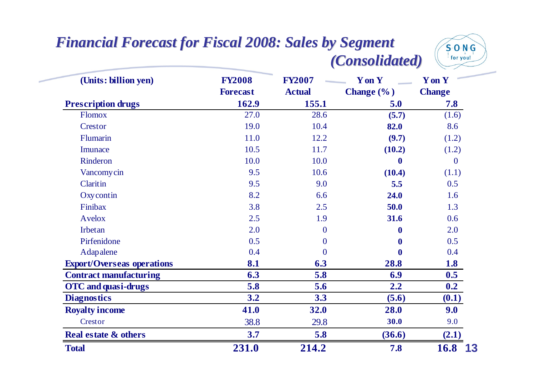#### **Financial Forecast for Fiscal 2008: Sales by Segment** *(Consolidated) (Consolidated)*



| (Units: billion yen)              | <b>FY2008</b><br><b>Forecast</b> | <b>FY2007</b><br><b>Actual</b> | <b>Y</b> on <b>Y</b><br>Change (%) | <b>Y</b> on <b>Y</b><br><b>Change</b> |
|-----------------------------------|----------------------------------|--------------------------------|------------------------------------|---------------------------------------|
| <b>Prescription drugs</b>         | 162.9                            | 155.1                          | 5.0                                | 7.8                                   |
| <b>Flomox</b>                     | 27.0                             | 28.6                           | (5.7)                              | (1.6)                                 |
| Crestor                           | 19.0                             | 10.4                           | 82.0                               | 8.6                                   |
| Flumarin                          | 11.0                             | 12.2                           | (9.7)                              | (1.2)                                 |
| Imunace                           | 10.5                             | 11.7                           | (10.2)                             | (1.2)                                 |
| Rinderon                          | 10.0                             | 10.0                           | $\bf{0}$                           | $\mathbf{0}$                          |
| <b>Vancomycin</b>                 | 9.5                              | 10.6                           | (10.4)                             | (1.1)                                 |
| Claritin                          | 9.5                              | 9.0                            | 5.5                                | 0.5                                   |
| Oxycontin                         | 8.2                              | 6.6                            | 24.0                               | 1.6                                   |
| Finibax                           | 3.8                              | 2.5                            | 50.0                               | 1.3                                   |
| <b>Avelox</b>                     | 2.5                              | 1.9                            | 31.6                               | 0.6                                   |
| Irbetan                           | 2.0                              | $\mathbf{0}$                   | $\mathbf 0$                        | 2.0                                   |
| Pirfenidone                       | 0.5                              | $\overline{0}$                 | $\bf{0}$                           | 0.5                                   |
| Adapalene                         | 0.4                              | $\overline{0}$                 | $\bf{0}$                           | 0.4                                   |
| <b>Export/Overseas operations</b> | 8.1                              | 6.3                            | 28.8                               | 1.8                                   |
| <b>Contract manufacturing</b>     | 6.3                              | 5.8                            | 6.9                                | 0.5                                   |
| <b>OTC</b> and quasi-drugs        | 5.8                              | 5.6                            | 2.2                                | 0.2                                   |
| <b>Diagnostics</b>                | 3.2                              | 3.3                            | (5.6)                              | (0.1)                                 |
| <b>Royalty income</b>             | 41.0                             | 32.0                           | 28.0                               | 9.0                                   |
| Crestor                           | 38.8                             | 29.8                           | 30.0                               | 9.0                                   |
| <b>Real estate &amp; others</b>   | 3.7                              | 5.8                            | (36.6)                             | (2.1)                                 |
| <b>Total</b>                      | 231.0                            | 214.2                          | 7.8                                | <b>16.8</b><br>13                     |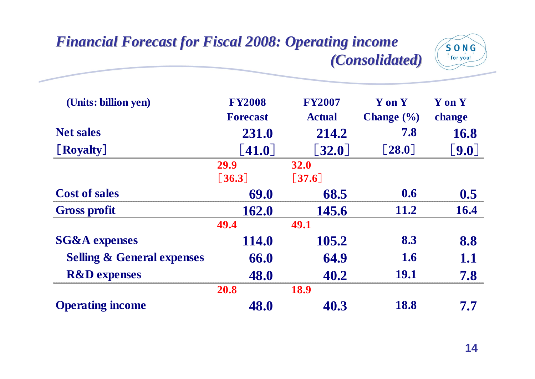#### **Financial Forecast for Fiscal 2008: Operating income** *(Consolidated) (Consolidated)*



| (Units: billion yen)                  | <b>FY2008</b>   | <b>FY2007</b>       | Y on Y                | Y on Y      |
|---------------------------------------|-----------------|---------------------|-----------------------|-------------|
|                                       | <b>Forecast</b> | <b>Actual</b>       | <b>Change</b> $(\% )$ | change      |
| <b>Net sales</b>                      | 231.0           | 214.2               | 7.8                   | <b>16.8</b> |
| [Royalty]                             | [41.0]          | $[32.0]$            | $\left[28.0\right]$   | [9.0]       |
|                                       | 29.9            | <b>32.0</b>         |                       |             |
|                                       | $[36.3]$        | $\left[37.6\right]$ |                       |             |
| <b>Cost of sales</b>                  | 69.0            | 68.5                | 0.6                   | 0.5         |
| <b>Gross profit</b>                   | 162.0           | 145.6               | 11.2                  | 16.4        |
|                                       | 49.4            | 49.1                |                       |             |
| <b>SG&amp;A</b> expenses              | 114.0           | 105.2               | 8.3                   | 8.8         |
| <b>Selling &amp; General expenses</b> | 66.0            | 64.9                | 1.6                   | 1.1         |
| <b>R&amp;D</b> expenses               | 48.0            | 40.2                | <b>19.1</b>           | 7.8         |
|                                       | 20.8            | 18.9                |                       |             |
| <b>Operating income</b>               | 48.0            | 40.3                | 18.8                  | 7.7         |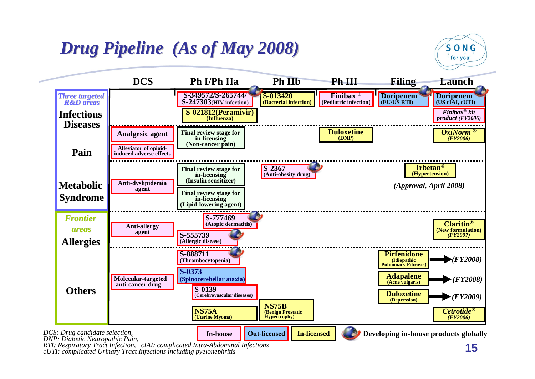# *Drug Pipeline (As of May 2008)*



*cUTI: complicated Urinary Tract Infections including pyelonephritis*

 $S$   $O$   $N$   $G$ for you!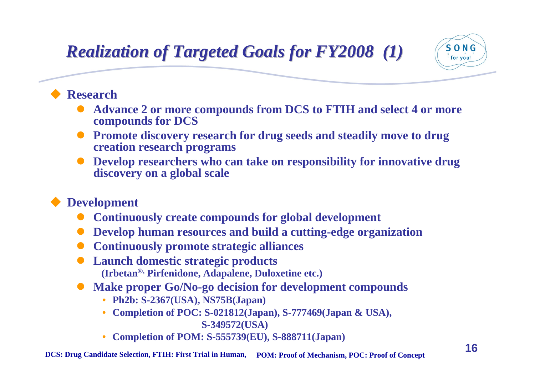# *Realization of Targeted Goals for FY2008 (1) Realization of Targeted Goals for FY2008 (1)*



#### $\blacklozenge$ **Research**

- $\bullet$  **Advance 2 or more compounds from DCS to FTIH and select 4 or more compounds for DCS**
- $\bullet$  **Promote discovery research for drug seeds and steadily move to drug creation research programs**
- $\bullet$  **Develop researchers who can take on responsibility for innovative drug discovery on a global scale**

#### $\blacklozenge$ **Development**

- $\bullet$ **Continuously create compounds for global development**
- $\bullet$ **Develop human resources and build a cutting-edge organization**
- $\bullet$ **Continuously promote strategic alliances**
- $\bullet$  **Launch domestic strategic products (Irbetan®, Pirfenidone, Adapalene, Duloxetine etc.)**
- $\bullet$  **Make proper Go/No-go decision for development compounds**
	- •**Ph2b: S-2367(USA), NS75B(Japan)**
	- • **Completion of POC: S-021812(Japan), S-777469(Japan & USA), S-349572(USA)**
	- •**Completion of POM: S-555739(EU), S-888711(Japan)**

**DCS: Drug Candidate Selection, FTIH: First Trial in Human, POM: Proof of Mechanism, POC: Proof of Concept**